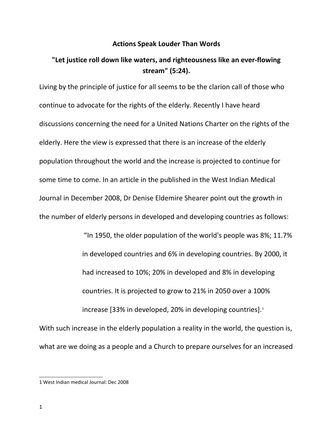## **Actions Speak Louder Than Words**

## **"Let justice roll down like waters, and righteousness like an ever-flowing stream" (5:24).**

Living by the principle of justice for all seems to be the clarion call of those who continue to advocate for the rights of the elderly. Recently I have heard discussions concerning the need for a United Nations Charter on the rights of the elderly. Here the view is expressed that there is an increase of the elderly population throughout the world and the increase is projected to continue for some time to come. In an article in the published in the West Indian Medical Journal in December 2008, Dr Denise Eldemire Shearer point out the growth in the number of elderly persons in developed and developing countries as follows:

> "In 1950, the older population of the world's people was 8%; 11.7% in developed countries and 6% in developing countries. By 2000, it had increased to 10%; 20% in developed and 8% in developing countries. It is projected to grow to 21% in 2050 over a 100% increase [33% in developed, 20% in developing countries].<sup>[1](#page-0-0)</sup>

With such increase in the elderly population a reality in the world, the question is, what are we doing as a people and a Church to prepare ourselves for an increased

<span id="page-0-0"></span><sup>1</sup> West Indian medical Journal: Dec 2008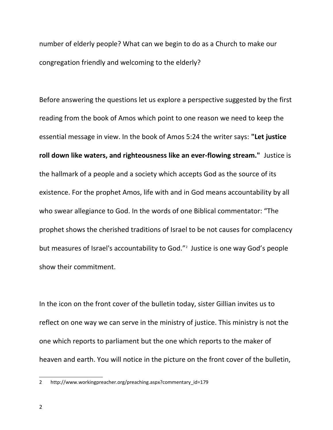number of elderly people? What can we begin to do as a Church to make our congregation friendly and welcoming to the elderly?

Before answering the questions let us explore a perspective suggested by the first reading from the book of Amos which point to one reason we need to keep the essential message in view. In the book of Amos 5:24 the writer says: **"Let justice roll down like waters, and righteousness like an ever-flowing stream."** Justice is the hallmark of a people and a society which accepts God as the source of its existence. For the prophet Amos, life with and in God means accountability by all who swear allegiance to God. In the words of one Biblical commentator: "The prophet shows the cherished traditions of Israel to be not causes for complacency but measures of Israel's accountability to God."<sup>[2](#page-1-0)</sup> Justice is one way God's people show their commitment.

In the icon on the front cover of the bulletin today, sister Gillian invites us to reflect on one way we can serve in the ministry of justice. This ministry is not the one which reports to parliament but the one which reports to the maker of heaven and earth. You will notice in the picture on the front cover of the bulletin,

<span id="page-1-0"></span><sup>2</sup> http://www.workingpreacher.org/preaching.aspx?commentary\_id=179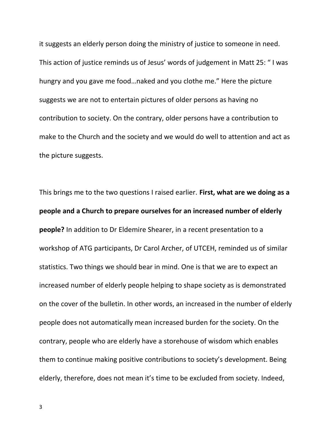it suggests an elderly person doing the ministry of justice to someone in need. This action of justice reminds us of Jesus' words of judgement in Matt 25: " I was hungry and you gave me food…naked and you clothe me." Here the picture suggests we are not to entertain pictures of older persons as having no contribution to society. On the contrary, older persons have a contribution to make to the Church and the society and we would do well to attention and act as the picture suggests.

This brings me to the two questions I raised earlier. **First, what are we doing as a people and a Church to prepare ourselves for an increased number of elderly people?** In addition to Dr Eldemire Shearer, in a recent presentation to a workshop of ATG participants, Dr Carol Archer, of UTCEH, reminded us of similar statistics. Two things we should bear in mind. One is that we are to expect an increased number of elderly people helping to shape society as is demonstrated on the cover of the bulletin. In other words, an increased in the number of elderly people does not automatically mean increased burden for the society. On the contrary, people who are elderly have a storehouse of wisdom which enables them to continue making positive contributions to society's development. Being elderly, therefore, does not mean it's time to be excluded from society. Indeed,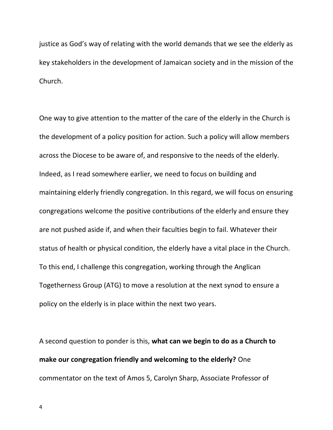justice as God's way of relating with the world demands that we see the elderly as key stakeholders in the development of Jamaican society and in the mission of the Church.

One way to give attention to the matter of the care of the elderly in the Church is the development of a policy position for action. Such a policy will allow members across the Diocese to be aware of, and responsive to the needs of the elderly. Indeed, as I read somewhere earlier, we need to focus on building and maintaining elderly friendly congregation. In this regard, we will focus on ensuring congregations welcome the positive contributions of the elderly and ensure they are not pushed aside if, and when their faculties begin to fail. Whatever their status of health or physical condition, the elderly have a vital place in the Church. To this end, I challenge this congregation, working through the Anglican Togetherness Group (ATG) to move a resolution at the next synod to ensure a policy on the elderly is in place within the next two years.

A second question to ponder is this, **what can we begin to do as a Church to make our congregation friendly and welcoming to the elderly?** One commentator on the text of Amos 5, Carolyn Sharp, Associate Professor of

4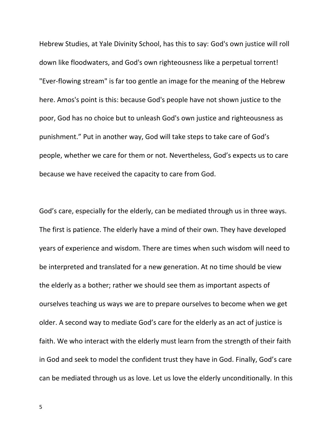Hebrew Studies, at Yale Divinity School, has this to say: God's own justice will roll down like floodwaters, and God's own righteousness like a perpetual torrent! "Ever-flowing stream" is far too gentle an image for the meaning of the Hebrew here. Amos's point is this: because God's people have not shown justice to the poor, God has no choice but to unleash God's own justice and righteousness as punishment." Put in another way, God will take steps to take care of God's people, whether we care for them or not. Nevertheless, God's expects us to care because we have received the capacity to care from God.

God's care, especially for the elderly, can be mediated through us in three ways. The first is patience. The elderly have a mind of their own. They have developed years of experience and wisdom. There are times when such wisdom will need to be interpreted and translated for a new generation. At no time should be view the elderly as a bother; rather we should see them as important aspects of ourselves teaching us ways we are to prepare ourselves to become when we get older. A second way to mediate God's care for the elderly as an act of justice is faith. We who interact with the elderly must learn from the strength of their faith in God and seek to model the confident trust they have in God. Finally, God's care can be mediated through us as love. Let us love the elderly unconditionally. In this

5